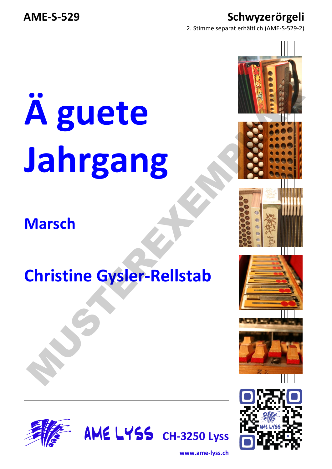### **AME-S-529 Schwyzerörgeli**

2. Stimme separat erhältlich (AME-S-529-2)

# **Ä guete Jahrgang**  A guete<br>Jahrgang<br>Marsch<br>Christine Gysler-Rellstab<br>Christine Gysler-Rellstab

### **Marsch**

### **Christine Gysler-Rellstab**







**www.ame-lyss.ch**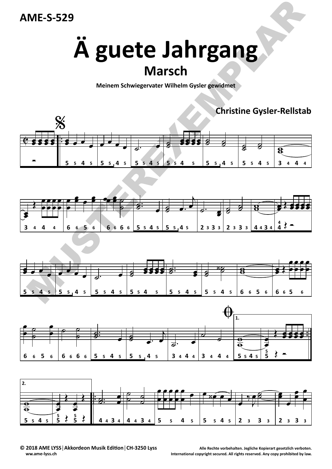# **Ä guete Jahrgang Marsch**

**Meinem Schwiegervater Wilhelm Gysler gewidmet**

**Christine Gysler‐Rellstab**